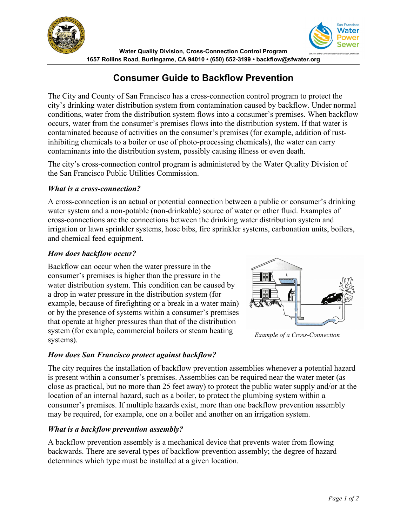



**Water Quality Division, Cross-Connection Control Program 1657 Rollins Road, Burlingame, CA 94010 • (650) 652-3199 • backflow@sfwater.org**

# **Consumer Guide to Backflow Prevention**

The City and County of San Francisco has a cross-connection control program to protect the city's drinking water distribution system from contamination caused by backflow. Under normal conditions, water from the distribution system flows into a consumer's premises. When backflow occurs, water from the consumer's premises flows into the distribution system. If that water is contaminated because of activities on the consumer's premises (for example, addition of rustinhibiting chemicals to a boiler or use of photo-processing chemicals), the water can carry contaminants into the distribution system, possibly causing illness or even death.

The city's cross-connection control program is administered by the Water Quality Division of the San Francisco Public Utilities Commission.

### *What is a cross-connection?*

A cross-connection is an actual or potential connection between a public or consumer's drinking water system and a non-potable (non-drinkable) source of water or other fluid. Examples of cross-connections are the connections between the drinking water distribution system and irrigation or lawn sprinkler systems, hose bibs, fire sprinkler systems, carbonation units, boilers, and chemical feed equipment.

### *How does backflow occur?*

Backflow can occur when the water pressure in the consumer's premises is higher than the pressure in the water distribution system. This condition can be caused by a drop in water pressure in the distribution system (for example, because of firefighting or a break in a water main) or by the presence of systems within a consumer's premises that operate at higher pressures than that of the distribution system (for example, commercial boilers or steam heating systems).



*Example of a Cross-Connection*

### *How does San Francisco protect against backflow?*

The city requires the installation of backflow prevention assemblies whenever a potential hazard is present within a consumer's premises. Assemblies can be required near the water meter (as close as practical, but no more than 25 feet away) to protect the public water supply and/or at the location of an internal hazard, such as a boiler, to protect the plumbing system within a consumer's premises. If multiple hazards exist, more than one backflow prevention assembly may be required, for example, one on a boiler and another on an irrigation system.

### *What is a backflow prevention assembly?*

A backflow prevention assembly is a mechanical device that prevents water from flowing backwards. There are several types of backflow prevention assembly; the degree of hazard determines which type must be installed at a given location.